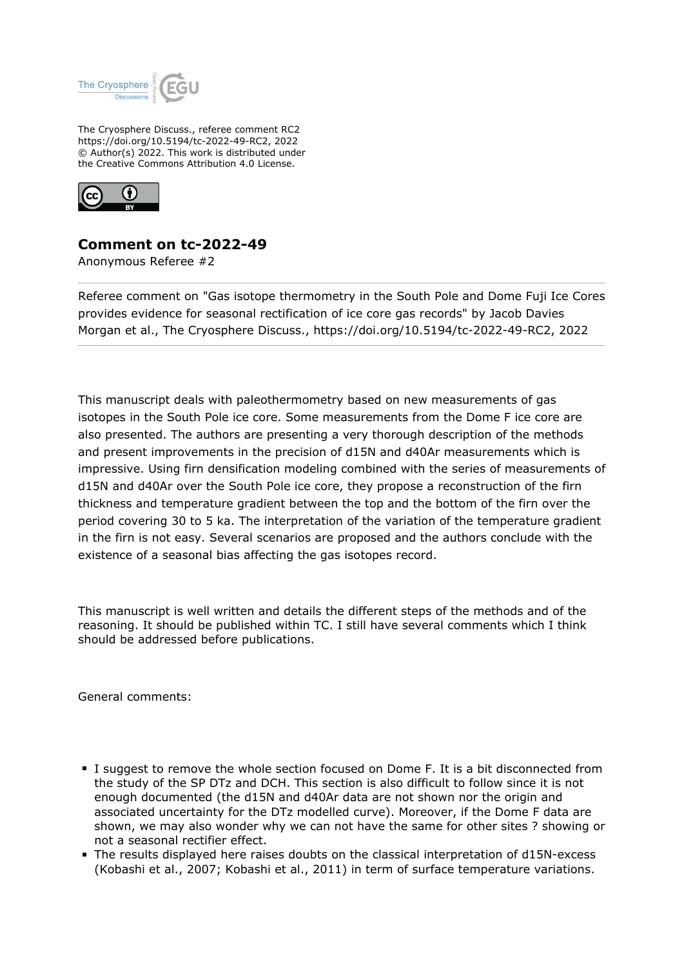

The Cryosphere Discuss., referee comment RC2 https://doi.org/10.5194/tc-2022-49-RC2, 2022 © Author(s) 2022. This work is distributed under the Creative Commons Attribution 4.0 License.



## **Comment on tc-2022-49**

Anonymous Referee #2

Referee comment on "Gas isotope thermometry in the South Pole and Dome Fuji Ice Cores provides evidence for seasonal rectification of ice core gas records" by Jacob Davies Morgan et al., The Cryosphere Discuss., https://doi.org/10.5194/tc-2022-49-RC2, 2022

This manuscript deals with paleothermometry based on new measurements of gas isotopes in the South Pole ice core. Some measurements from the Dome F ice core are also presented. The authors are presenting a very thorough description of the methods and present improvements in the precision of d15N and d40Ar measurements which is impressive. Using firn densification modeling combined with the series of measurements of d15N and d40Ar over the South Pole ice core, they propose a reconstruction of the firn thickness and temperature gradient between the top and the bottom of the firn over the period covering 30 to 5 ka. The interpretation of the variation of the temperature gradient in the firn is not easy. Several scenarios are proposed and the authors conclude with the existence of a seasonal bias affecting the gas isotopes record.

This manuscript is well written and details the different steps of the methods and of the reasoning. It should be published within TC. I still have several comments which I think should be addressed before publications.

General comments:

- I suggest to remove the whole section focused on Dome F. It is a bit disconnected from the study of the SP DTz and DCH. This section is also difficult to follow since it is not enough documented (the d15N and d40Ar data are not shown nor the origin and associated uncertainty for the DTz modelled curve). Moreover, if the Dome F data are shown, we may also wonder why we can not have the same for other sites ? showing or not a seasonal rectifier effect.
- The results displayed here raises doubts on the classical interpretation of d15N-excess (Kobashi et al., 2007; Kobashi et al., 2011) in term of surface temperature variations.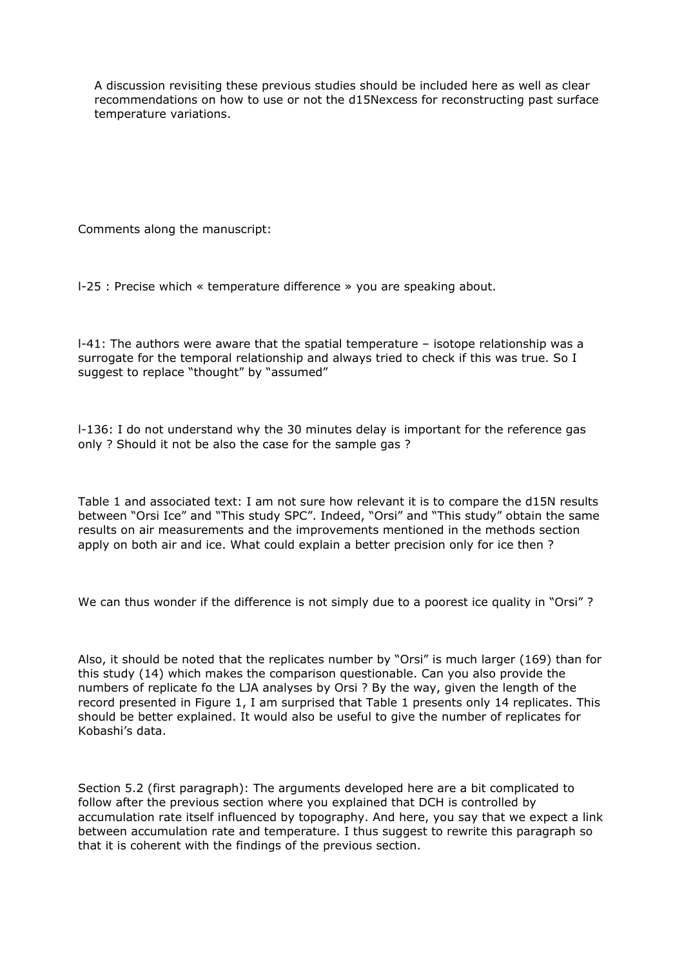A discussion revisiting these previous studies should be included here as well as clear recommendations on how to use or not the d15Nexcess for reconstructing past surface temperature variations.

Comments along the manuscript:

l-25 : Precise which « temperature difference » you are speaking about.

l-41: The authors were aware that the spatial temperature – isotope relationship was a surrogate for the temporal relationship and always tried to check if this was true. So I suggest to replace "thought" by "assumed"

l-136: I do not understand why the 30 minutes delay is important for the reference gas only ? Should it not be also the case for the sample gas ?

Table 1 and associated text: I am not sure how relevant it is to compare the d15N results between "Orsi Ice" and "This study SPC". Indeed, "Orsi" and "This study" obtain the same results on air measurements and the improvements mentioned in the methods section apply on both air and ice. What could explain a better precision only for ice then ?

We can thus wonder if the difference is not simply due to a poorest ice quality in "Orsi" ?

Also, it should be noted that the replicates number by "Orsi" is much larger (169) than for this study (14) which makes the comparison questionable. Can you also provide the numbers of replicate fo the LJA analyses by Orsi ? By the way, given the length of the record presented in Figure 1, I am surprised that Table 1 presents only 14 replicates. This should be better explained. It would also be useful to give the number of replicates for Kobashi's data.

Section 5.2 (first paragraph): The arguments developed here are a bit complicated to follow after the previous section where you explained that DCH is controlled by accumulation rate itself influenced by topography. And here, you say that we expect a link between accumulation rate and temperature. I thus suggest to rewrite this paragraph so that it is coherent with the findings of the previous section.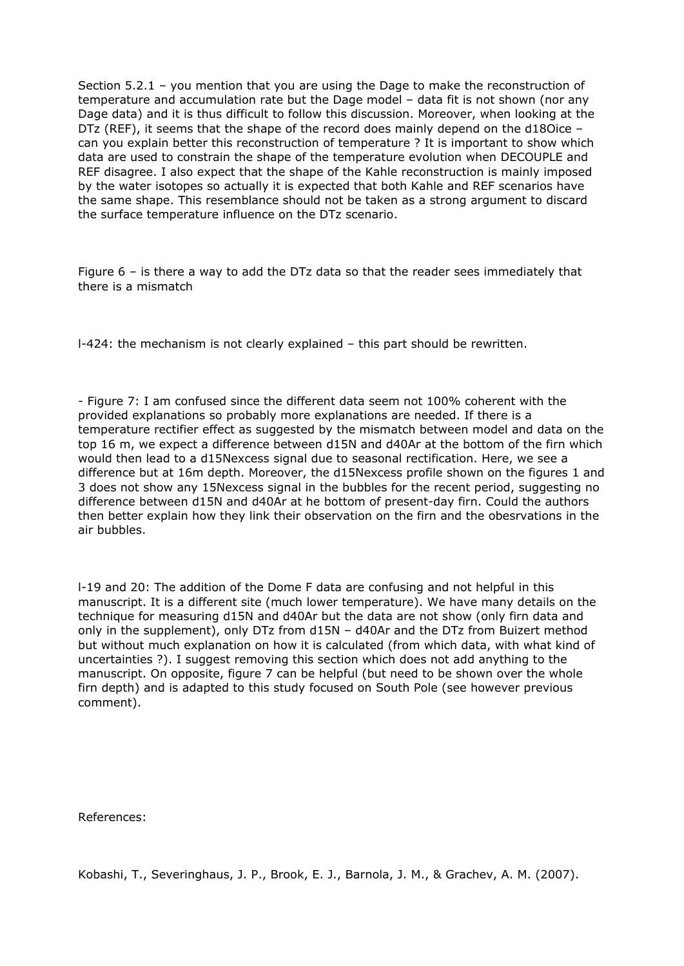Section 5.2.1 – you mention that you are using the Dage to make the reconstruction of temperature and accumulation rate but the Dage model – data fit is not shown (nor any Dage data) and it is thus difficult to follow this discussion. Moreover, when looking at the DTz (REF), it seems that the shape of the record does mainly depend on the d18Oice – can you explain better this reconstruction of temperature ? It is important to show which data are used to constrain the shape of the temperature evolution when DECOUPLE and REF disagree. I also expect that the shape of the Kahle reconstruction is mainly imposed by the water isotopes so actually it is expected that both Kahle and REF scenarios have the same shape. This resemblance should not be taken as a strong argument to discard the surface temperature influence on the DTz scenario.

Figure 6 – is there a way to add the DTz data so that the reader sees immediately that there is a mismatch

l-424: the mechanism is not clearly explained – this part should be rewritten.

- Figure 7: I am confused since the different data seem not 100% coherent with the provided explanations so probably more explanations are needed. If there is a temperature rectifier effect as suggested by the mismatch between model and data on the top 16 m, we expect a difference between d15N and d40Ar at the bottom of the firn which would then lead to a d15Nexcess signal due to seasonal rectification. Here, we see a difference but at 16m depth. Moreover, the d15Nexcess profile shown on the figures 1 and 3 does not show any 15Nexcess signal in the bubbles for the recent period, suggesting no difference between d15N and d40Ar at he bottom of present-day firn. Could the authors then better explain how they link their observation on the firn and the obesrvations in the air bubbles.

l-19 and 20: The addition of the Dome F data are confusing and not helpful in this manuscript. It is a different site (much lower temperature). We have many details on the technique for measuring d15N and d40Ar but the data are not show (only firn data and only in the supplement), only DTz from d15N – d40Ar and the DTz from Buizert method but without much explanation on how it is calculated (from which data, with what kind of uncertainties ?). I suggest removing this section which does not add anything to the manuscript. On opposite, figure 7 can be helpful (but need to be shown over the whole firn depth) and is adapted to this study focused on South Pole (see however previous comment).

References:

Kobashi, T., Severinghaus, J. P., Brook, E. J., Barnola, J. M., & Grachev, A. M. (2007).